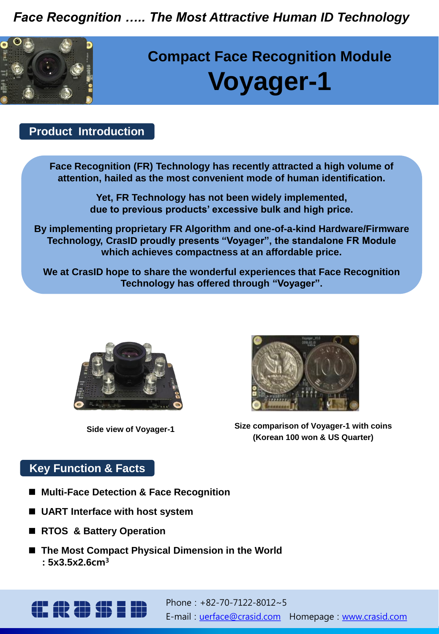*Face Recognition ….. The Most Attractive Human ID Technology*



# **Compact Face Recognition Module Voyager-1**

#### **Product Introduction**

**Face Recognition (FR) Technology has recently attracted a high volume of attention, hailed as the most convenient mode of human identification.**

> **Yet, FR Technology has not been widely implemented, due to previous products' excessive bulk and high price.**

**By implementing proprietary FR Algorithm and one-of-a-kind Hardware/Firmware Technology, CrasID proudly presents "Voyager", the standalone FR Module which achieves compactness at an affordable price.**

**We at CrasID hope to share the wonderful experiences that Face Recognition Technology has offered through "Voyager".**



**Side view of Voyager-1**



**Size comparison of Voyager-1 with coins (Korean 100 won & US Quarter)**

#### **Key Function & Facts**

- Multi-Face Detection & Face Recognition
- UART Interface with host system
- RTOS & Battery Operation
- The Most Compact Physical Dimension in the World  **: 5x3.5x2.6**cm<sup>3</sup>

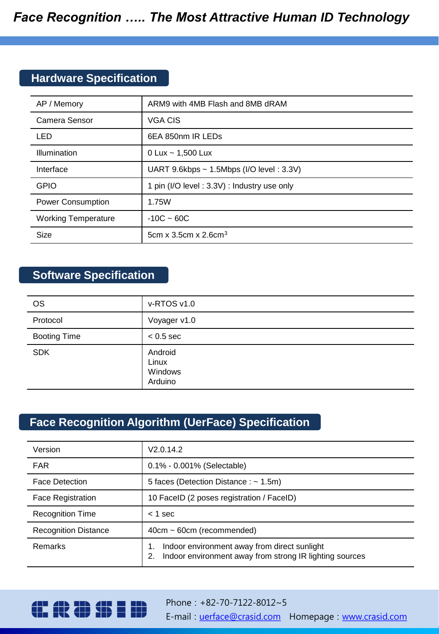### **Hardware Specification**

| AP / Memory                | ARM9 with 4MB Flash and 8MB dRAM           |
|----------------------------|--------------------------------------------|
| Camera Sensor              | VGA CIS                                    |
| <b>LED</b>                 | 6EA 850nm IR LEDs                          |
| <b>Illumination</b>        | 0 Lux $\sim$ 1,500 Lux                     |
| Interface                  | UART 9.6kbps ~ 1.5Mbps (I/O level: 3.3V)   |
| <b>GPIO</b>                | 1 pin (I/O level: 3.3V): Industry use only |
| <b>Power Consumption</b>   | 1.75W                                      |
| <b>Working Temperature</b> | $-10C - 60C$                               |
| Size                       | 5cm x 3.5cm x $2.6$ cm <sup>3</sup>        |

#### **Software Specification**

| <b>OS</b>           | v-RTOS v1.0                            |
|---------------------|----------------------------------------|
| Protocol            | Voyager v1.0                           |
| <b>Booting Time</b> | $< 0.5$ sec                            |
| <b>SDK</b>          | Android<br>Linux<br>Windows<br>Arduino |

#### **Face Recognition Algorithm (UerFace) Specification**

| Version                     | V2.0.14.2                                                                                                     |
|-----------------------------|---------------------------------------------------------------------------------------------------------------|
| <b>FAR</b>                  | 0.1% - 0.001% (Selectable)                                                                                    |
| <b>Face Detection</b>       | 5 faces (Detection Distance : $\sim$ 1.5m)                                                                    |
| <b>Face Registration</b>    | 10 FacelD (2 poses registration / FacelD)                                                                     |
| <b>Recognition Time</b>     | $<$ 1 sec                                                                                                     |
| <b>Recognition Distance</b> | $40cm \sim 60cm$ (recommended)                                                                                |
| Remarks                     | Indoor environment away from direct sunlight<br>Indoor environment away from strong IR lighting sources<br>2. |